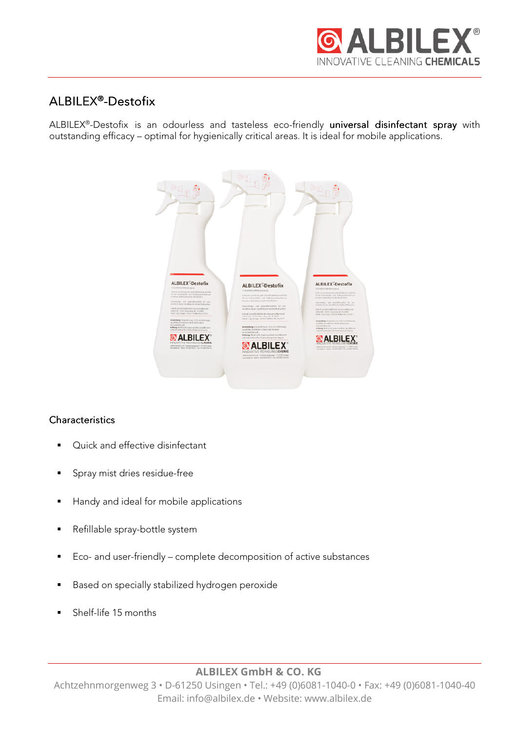

# ALBILEX®-Destofix

ALBILEX®-Destofix is an odourless and tasteless eco-friendly universal disinfectant spray with outstanding efficacy – optimal for hygienically critical areas. It is ideal for mobile applications.



# **Characteristics**

- Quick and effective disinfectant
- **Spray mist dries residue-free**
- Handy and ideal for mobile applications
- **Refillable spray-bottle system**
- Eco- and user-friendly complete decomposition of active substances
- Based on specially stabilized hydrogen peroxide
- Shelf-life 15 months

# **ALBILEX GmbH & CO. KG**

Achtzehnmorgenweg 3 • D-61250 Usingen • Tel.: +49 (0)6081-1040-0 • Fax: +49 (0)6081-1040-40 Email: info@albilex.de • Website: www.albilex.de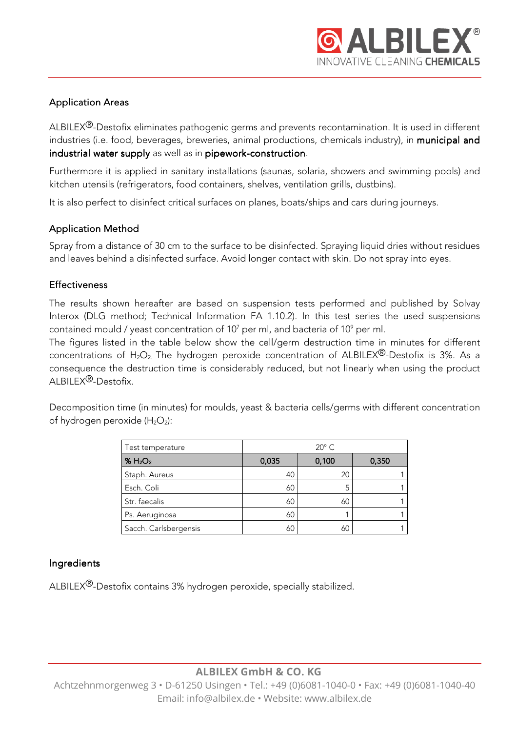

## **Application Areas**

ALBILEX<sup>®</sup>-Destofix eliminates pathogenic germs and prevents recontamination. It is used in different industries (i.e. food, beverages, breweries, animal productions, chemicals industry), in municipal and industrial water supply as well as in pipework-construction.

Furthermore it is applied in sanitary installations (saunas, solaria, showers and swimming pools) and kitchen utensils (refrigerators, food containers, shelves, ventilation grills, dustbins).

It is also perfect to disinfect critical surfaces on planes, boats/ships and cars during journeys.

## **Application Method**

Spray from a distance of 30 cm to the surface to be disinfected. Spraying liquid dries without residues and leaves behind a disinfected surface. Avoid longer contact with skin. Do not spray into eyes.

#### **Effectiveness**

The results shown hereafter are based on suspension tests performed and published by Solvay Interox (DLG method; Technical Information FA 1.10.2). In this test series the used suspensions contained mould / yeast concentration of 10<sup>7</sup> per ml, and bacteria of 10<sup>9</sup> per ml.

The figures listed in the table below show the cell/germ destruction time in minutes for different concentrations of H<sub>2</sub>O<sub>2</sub>. The hydrogen peroxide concentration of ALBILEX<sup>®</sup>-Destofix is 3%. As a consequence the destruction time is considerably reduced, but not linearly when using the product ALBILEX $\mathcal{R}$ -Destofix

Decomposition time (in minutes) for moulds, yeast & bacteria cells/germs with different concentration of hydrogen peroxide  $(H_2O_2)$ :

| Test temperature                | $20^{\circ}$ C |       |       |
|---------------------------------|----------------|-------|-------|
| % H <sub>2</sub> O <sub>2</sub> | 0,035          | 0,100 | 0,350 |
| Staph. Aureus                   | 40             | 20    |       |
| Esch. Coli                      | 60             |       |       |
| Str. faecalis                   | 60             | 60    |       |
| Ps. Aeruginosa                  | 60             |       |       |
| Sacch. Carlsbergensis           | 60             | 60    |       |

#### Ingredients Ingredients

ALBILEX®-Destofix contains 3% hydrogen peroxide, specially stabilized.

# **ALBILEX GmbH & CO. KG**

Achtzehnmorgenweg 3 • D-61250 Usingen • Tel.: +49 (0)6081-1040-0 • Fax: +49 (0)6081-1040-40 Email: info@albilex.de • Website: www.albilex.de